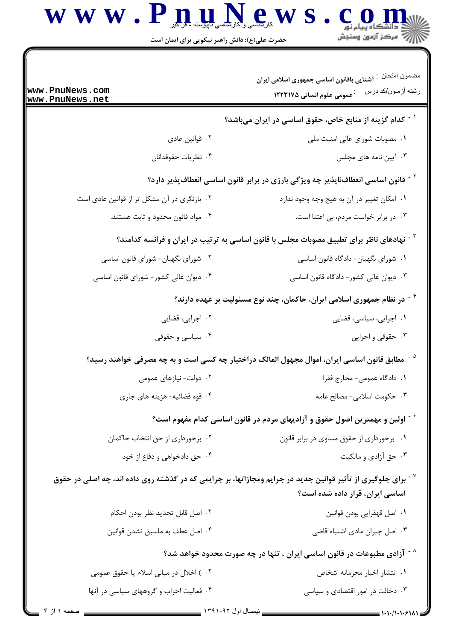$\mathbf{W} \mathbf{W} \cdot \mathbf{P} \prod_{\text{sub}} \prod_{\text{sub}} \prod_{\text{sub}} \mathbf{P}_{\text{sub}} \mathbf{W} \mathbf{S} \cdot \mathbf{C} \prod_{\text{sub}} \prod_{\text{sub}} \prod_{\text{sub}} \mathbf{W}$ 

| www.PnuNews.com<br>www.PnuNews.net                                                                              | مضمون امنحان فت آشنایی باقانون اساسی جمهوری اسلامی ایران<br>رشته أزمون/كد درس<br><sup>:</sup> عمومی علوم انسانی ۱۲۲۳۱۷۵                                |  |  |  |
|-----------------------------------------------------------------------------------------------------------------|--------------------------------------------------------------------------------------------------------------------------------------------------------|--|--|--|
|                                                                                                                 | <sup>۱ -</sup> کدام گزینه از منابع خاص، حقوق اساسی در ایران میباشد؟                                                                                    |  |  |  |
| ۰۲ قوانین عادی                                                                                                  | ۰۱ مصوبات شورای عالی امنیت ملی                                                                                                                         |  |  |  |
| ۰۴ نظريات حقوقدانان                                                                                             | ۰۳ آیین نامه های مجلس                                                                                                                                  |  |  |  |
| <sup>۲ -</sup> قانون اساسی انعطافناپذیر چه ویژگی بارزی در برابر قانون اساسی انعطافپذیر دارد؟                    |                                                                                                                                                        |  |  |  |
| ۰۲ بازنگری در آن مشکل تر از قوانین عادی است                                                                     | ۰۱ امکان تغییر در آن به هیچ وجه وجود ندارد                                                                                                             |  |  |  |
| ۰۴ مواد قانون محدود و ثابت هستند.                                                                               | ۰۳ در برابر خواست مردم، بی اعتنا است.                                                                                                                  |  |  |  |
| <sup>7</sup> <sup>-</sup> نهادهای ناظر برای تطبیق مصوبات مجلس با قانون اساسی به ترتیب در ایران و فرانسه کدامند؟ |                                                                                                                                                        |  |  |  |
| ۰۲ شورای نگهبان- شورای قانون اساسی                                                                              | ۰۱ شورای نگهبان- دادگاه قانون اساسی                                                                                                                    |  |  |  |
| ۰۴ دیوان عالی کشور- شورای قانون اساسی                                                                           | ۰۳ دیوان عالی کشور- دادگاه قانون اساسی                                                                                                                 |  |  |  |
| <sup>۶</sup> <sup>-</sup> در نظام جمهوری اسلامی ایران، حاکمان، چند نوع مسئولیت بر عهده دارند؟                   |                                                                                                                                                        |  |  |  |
| ۰۲ اجرایی، قضایی                                                                                                | ۰۱ اجرایی، سیاسی، قضایی                                                                                                                                |  |  |  |
| ۰۴ سیاسی و حقوقی                                                                                                | ۰۳ حقوقی و اجرایی                                                                                                                                      |  |  |  |
|                                                                                                                 | مطابق قانون اساسی ایران، اموال مجهول المالک دراختیار چه کسی است و به چه مصرفی خواهند رسید؟                                                             |  |  |  |
| ۲. دولت- نیازهای عمومی                                                                                          | ۰۱ دادگاه عمومی- مخارج فقرا                                                                                                                            |  |  |  |
| ۰۴ قوه قضائیه- هزینه های جاری                                                                                   | ۰۳ حکومت اسلامی- مصالح عامه                                                                                                                            |  |  |  |
|                                                                                                                 | گی اولین و مهمترین اصول حقوق و آزادیهای مردم در قانون اساسی کدام مفهوم است؟ $\sim$                                                                     |  |  |  |
| ۰۲ برخورداری از حق انتخاب حاکمان                                                                                | ۰۱ برخورداری از حقوق مساوی در برابر قانون                                                                                                              |  |  |  |
| ۰۴ حق دادخواهی و دفاع از خود                                                                                    | ۰۳ حق آزادی و مالکیت                                                                                                                                   |  |  |  |
|                                                                                                                 | برای جلوگیری از تأثیر قوانین جدید در جرایم ومجازاتها، بر جرایمی که در گذشته روی داده اند، چه اصلی در حقوق $^{\vee}$<br>اساسی ایران، قرار داده شده است؟ |  |  |  |
| ٠٢ اصل قابل تجديد نظر بودن احكام                                                                                | ٠١. اصل قهقرايي بودن قوانين                                                                                                                            |  |  |  |
| ۰۴ اصل عطف به ماسبق نشدن قوانين                                                                                 | ۰۳ اصل جبران مادی اشتباه قاضی                                                                                                                          |  |  |  |
|                                                                                                                 | ازادی مطبوعات در قانون اساسی ایران ، تنها در چه صورت محدود خواهد شد؟ $^{\wedge}$                                                                       |  |  |  |
| ۰۲ ) اخلال در مبانی اسلام یا حقوق عمومی                                                                         | ۰۱ انتشار اخبار محرمانه اشخاص                                                                                                                          |  |  |  |
| ۰۴ فعالیت احزاب و گروههای سیاسی در آنها                                                                         | ۰۳ دخالت در امور اقتصادی و سیاسی                                                                                                                       |  |  |  |

\_\_ نیمسال اول ۹۲-۱۳۹۱ \_\_

صفحه ۱ از ۴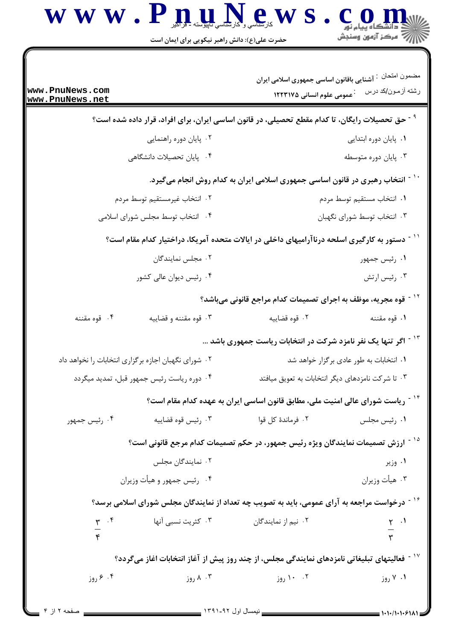$\mathbf{W} \mathbf{W} \cdot \mathbf{P} \prod_{\text{sub}} \prod_{\text{sub}} \prod_{\text{sub}} \mathbf{P}_{\text{sub}} \mathbf{W} \mathbf{S} \cdot \mathbf{C} \prod_{\text{sub}} \prod_{\text{sub}} \prod_{\text{sub}} \mathbf{W}$ 

| www.PnuNews.com<br>www.PnuNews.net                                                                          | مضمون امنحان فتأتشنايي باقانون اساسي جمهوري اسلامي ايران<br><sup>.</sup> عمومی علوم انسانی ۱۲۲۳۱۷۵ | رشته أزمون/كد درس                       |  |  |
|-------------------------------------------------------------------------------------------------------------|----------------------------------------------------------------------------------------------------|-----------------------------------------|--|--|
| <sup>۹ -</sup> حق تحصیلات رایگان، تا کدام مقطع تحصیلی، در قانون اساسی ایران، برای افراد، قرار داده شده است؟ |                                                                                                    |                                         |  |  |
| ۰۲ پایان دوره راهنمایی                                                                                      |                                                                                                    | ٠١. پايان دوره ابتدايي                  |  |  |
| ۰۴ پایان تحصیلات دانشگاهی                                                                                   |                                                                                                    | ۰۳ پایان دوره متوسطه                    |  |  |
| <sup>۱۰ -</sup> انتخاب رهبری در قانون اساسی جمهوری اسلامی ایران به کدام روش انجام میگیرد.                   |                                                                                                    |                                         |  |  |
| ۰۲ انتخاب غیرمستقیم توسط مردم                                                                               |                                                                                                    | ٠١. انتخاب مستقيم توسط مردم             |  |  |
| ۰۴ انتخاب توسط مجلس شورای اسلامی                                                                            |                                                                                                    | ۰۳ انتخاب توسط شورای نگهبان             |  |  |
| <sup>۱۱ -</sup> دستور به کارگیری اسلحه درناآرامیهای داخلی در ایالات متحده آمریکا، دراختیار کدام مقام است؟   |                                                                                                    |                                         |  |  |
| ۰۲ مجلس نمایندگان                                                                                           |                                                                                                    | ۰۱ رئیس جمهور                           |  |  |
| ۰۴ رئیس دیوان عالی کشور                                                                                     |                                                                                                    | ۰۳ رئیس ارتش                            |  |  |
| <sup>۱۲ -</sup> قوه مجریه، موظف به اجرای تصمیمات کدام مراجع قانونی میباشد؟                                  |                                                                                                    |                                         |  |  |
| ۴. قوه مقننه<br>۰۳ قوه مقننه و قضاييه                                                                       | ۰۲ قوه قضاييه                                                                                      | ١. قوه مقننه                            |  |  |
| <sup>۱۳ -</sup> اگر تنها یک نفر نامزد شرکت در انتخابات ریاست جمهوری باشد                                    |                                                                                                    |                                         |  |  |
| ۰۲ شورای نگهبان اجازه برگزاری انتخابات را نخواهد داد                                                        |                                                                                                    | ۰۱ انتخابات به طور عادی برگزار خواهد شد |  |  |
| ۰۴ دوره ریاست رئیس جمهور قبل، تمدید میگردد                                                                  | ۰۳ تا شرکت نامزدهای دیگر انتخابات به تعویق میافتد                                                  |                                         |  |  |
|                                                                                                             | <sup>۱۴ -</sup> ریاست شورای عالی امنیت ملی، مطابق قانون اساسی ایران به عهده کدام مقام است؟         |                                         |  |  |
| ۰۳ رئيس قوه قضاييه<br>۰۴ رئیس جمهور                                                                         | ۰۲ فرماندهٔ کل قوا                                                                                 | ۰۱ رئیس مجلس                            |  |  |
| <sup>۱۵ -</sup> ارزش تصمیمات نمایندگان ویژه رئیس جمهور، در حکم تصمیمات کدام مرجع قانونی است؟                |                                                                                                    |                                         |  |  |
| ۰۲ نمایندگان مجلس                                                                                           |                                                                                                    | ۰۱ وزیر                                 |  |  |
| ۰۴ رئیس جمهور و هیأت وزیران                                                                                 |                                                                                                    | ۰۳ هيأت وزيران                          |  |  |
| <sup>۱۶ -</sup> درخواست مراجعه به آرای عمومی، باید به تصویب چه تعداد از نمایندگان مجلس شورای اسلامی برسد؟   |                                                                                                    |                                         |  |  |
| ۰۳ کثریت نسبی آنها                                                                                          | ۰۲ نیم از نمایندگان                                                                                |                                         |  |  |
|                                                                                                             |                                                                                                    | $rac{1}{r}$ .                           |  |  |
| ٔ ` ` فعالیتهای تبلیغاتی نامزدهای نمایندگی مجلس، از چند روز پیش از آغاز انتخابات اغاز میگردد؟               |                                                                                                    |                                         |  |  |
| ۸۰۳ روز<br>۰۴ ۶ روز                                                                                         | ۰۲ ۱۰ روز                                                                                          | ۰۱ ۷ روز                                |  |  |
|                                                                                                             |                                                                                                    |                                         |  |  |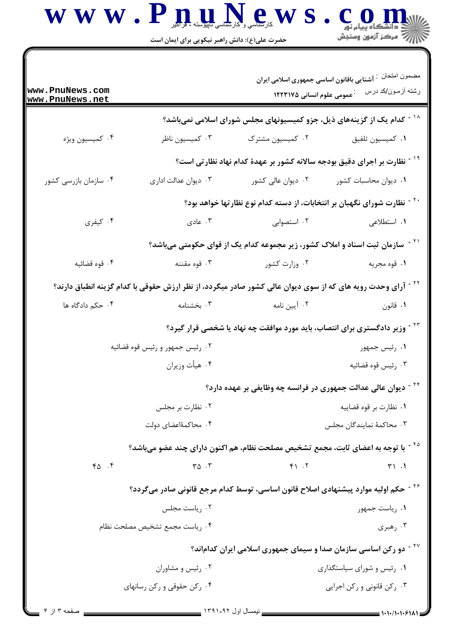$\bf W \ \bf W \cdot \bf P \prod_{\text{min}} \prod_{\text{min}} \prod_{\text{min}} \prod_{\text{min}} \sum_{\text{min}} \sum_{\text{min}} \sum_{\text{min}} \sum_{\text{min}} \sum_{\text{min}} \sum_{\text{min}} \sum_{\text{min}} \sum_{\text{min}} \sum_{\text{min}} \sum_{\text{min}} \sum_{\text{min}} \sum_{\text{min}} \sum_{\text{min}} \sum_{\text{min}} \sum_{\text{min}} \sum_{\text{min}} \sum_{\text{min}} \sum_{\text{min}} \sum_{\text{min}} \sum_{\text{min}} \sum_{\text{min}} \sum_{\text{min}}$ 

| www.PnuNews.com<br>www.PnuNews.net                                                                                      |                                      | <b>1۲۲۳۱۷۵ علوم انسانی ۱۲۲۳۱۷۵</b>                                                           | مضمون امنحان فتسنايي باقانون اساسي جمهوري اسلامي ايران<br>رشته أزمون/كد درس |
|-------------------------------------------------------------------------------------------------------------------------|--------------------------------------|----------------------------------------------------------------------------------------------|-----------------------------------------------------------------------------|
|                                                                                                                         |                                      | <sup>۱۸ -</sup> کدام یک از گزینههای ذیل، جزو کمیسیونهای مجلس شورای اسلامی نمیباشد؟           |                                                                             |
| ۰۴ کمیسیون ویژه                                                                                                         | ۰۳ كميسيون ناظر                      | ۰۲ کمیسیون مشترک                                                                             | ٠١ كميسيون تلفيق                                                            |
|                                                                                                                         |                                      | <sup>۱۹ -</sup> نظارت بر اجرای دقیق بودجه سالانه کشور بر عهدهٔ کدام نهاد نظارتی است؟         |                                                                             |
| ۰۴ سازمان بازرسی کشور                                                                                                   | ۰۳ دیوان عدالت اداری                 |                                                                                              | ۰۱ دیوان محاسبات کشور مسمع ۲۰ دیوان عالی کشور                               |
|                                                                                                                         |                                      | <sup>۲۰ -</sup> نظارت شورای نگهبان بر انتخابات، از دسته کدام نوع نظارتها خواهد بود؟          |                                                                             |
| ۰۴ کیفری                                                                                                                | ۰۳ عادی                              | ۰۲ استصوابی                                                                                  | ۰۱ استطلاعی                                                                 |
|                                                                                                                         |                                      | <sup>۲۱ -</sup> سازمان ثبت اسناد و املاک کشور، زیر مجموعه کدام یک از قوای حکومتی میباشد؟     |                                                                             |
| ۰۴ قوه قضائيه                                                                                                           | ۰۳ قوه مقننه                         | ۰۲ وزارت کشور                                                                                | ١. قوه مجريه                                                                |
| <sup>۲۲ -</sup> آرای وحدت رویه های که از سوی دیوان عالی کشور صادر میگردد، از نظر ارزش حقوقی با کدام گزینه انطباق دارند؟ |                                      |                                                                                              |                                                                             |
| ۰۴ حکم دادگاه ها                                                                                                        | ۰۳ بخشنامه                           | ۰۲ آیین نامه                                                                                 | ۰۱ قانون                                                                    |
|                                                                                                                         |                                      | <sup>۲۳ -</sup> وزیر دادگستری برای انتصاب، باید مورد موافقت چه نهاد یا شخصی قرار گیرد؟       |                                                                             |
|                                                                                                                         | ۰۲ رئیس جمهور و رئیس قوه قضائیه      |                                                                                              | ۰۱ رئیس جمهور                                                               |
|                                                                                                                         | ۰۴ هيأت وزيران                       |                                                                                              | ۰۳ رئيس قوه قضائيه                                                          |
| <sup>۲۴ -</sup> دیوان عالی عدالت جمهوری در فرانسه چه وظایفی بر عهده دارد؟                                               |                                      |                                                                                              |                                                                             |
|                                                                                                                         | ۰۲ نظارت بر مجلس                     |                                                                                              | ۰۱ نظارت بر قوه قضاییه                                                      |
|                                                                                                                         | ۰۴ محاکمهٔاعضای دولت                 |                                                                                              | ۰۳ محاکمهٔ نمایندگان مجلس                                                   |
|                                                                                                                         |                                      | <sup>۲۵ -</sup> با توجه به اعضای ثابت، مجمع تشخیص مصلحت نظام، هم اکنون دارای چند عضو میباشد؟ |                                                                             |
| 40.5                                                                                                                    | $\mathbf{r} \Delta \cdot \mathbf{r}$ | F1.7                                                                                         | T1.1                                                                        |
| <sup>۲۶ -</sup> حکم اولیه موارد پیشنهادی اصلاح قانون اساسی، توسط کدام مرجع قانونی صادر میگردد؟                          |                                      |                                                                                              |                                                                             |
|                                                                                                                         | ۰۲ ریاست مجلس                        |                                                                                              | ۰۱ رياست جمهور                                                              |
|                                                                                                                         | ۰۴ رياست مجمع تشخيص مصلحت نظام       |                                                                                              | ۰۳ رهبري                                                                    |
| <sup>۲۷ -</sup> دو رکن اساسی سازمان صدا و سیمای جمهوری اسلامی ایران کداماند؟                                            |                                      |                                                                                              |                                                                             |
|                                                                                                                         | ۰۲ رئیس و مشاوران                    |                                                                                              | ۰۱ رئیس و شورای سیاستگذاری                                                  |
|                                                                                                                         | ۰۴ رکن حقوقی و رکن رسانهای           |                                                                                              | ۰۳ رکن قانونی و رکن اجرایی                                                  |
|                                                                                                                         |                                      |                                                                                              |                                                                             |